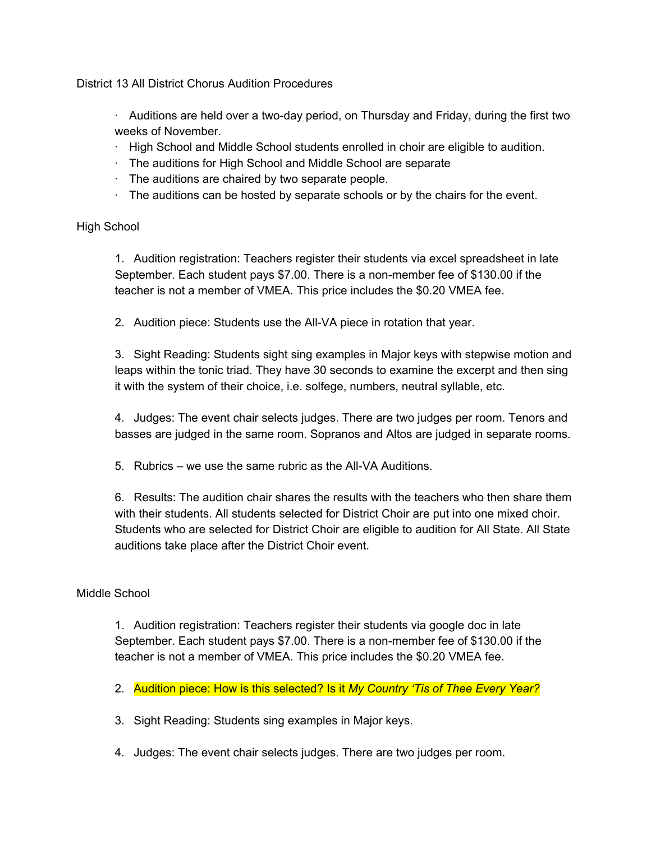District 13 All District Chorus Audition Procedures

 $\cdot$  Auditions are held over a two-day period, on Thursday and Friday, during the first two weeks of November.

- · High School and Middle School students enrolled in choir are eligible to audition.
- · The auditions for High School and Middle School are separate
- $\cdot$  The auditions are chaired by two separate people.
- $\cdot$  The auditions can be hosted by separate schools or by the chairs for the event.

## High School

1. Audition registration: Teachers register their students via excel spreadsheet in late September. Each student pays \$7.00. There is a non-member fee of \$130.00 if the teacher is not a member of VMEA. This price includes the \$0.20 VMEA fee.

2. Audition piece: Students use the All-VA piece in rotation that year.

3. Sight Reading: Students sight sing examples in Major keys with stepwise motion and leaps within the tonic triad. They have 30 seconds to examine the excerpt and then sing it with the system of their choice, i.e. solfege, numbers, neutral syllable, etc.

4. Judges: The event chair selects judges. There are two judges per room. Tenors and basses are judged in the same room. Sopranos and Altos are judged in separate rooms.

5. Rubrics – we use the same rubric as the All-VA Auditions.

6. Results: The audition chair shares the results with the teachers who then share them with their students. All students selected for District Choir are put into one mixed choir. Students who are selected for District Choir are eligible to audition for All State. All State auditions take place after the District Choir event.

## Middle School

1. Audition registration: Teachers register their students via google doc in late September. Each student pays \$7.00. There is a non-member fee of \$130.00 if the teacher is not a member of VMEA. This price includes the \$0.20 VMEA fee.

- 2. Audition piece: How is this selected? Is it *My Country 'Tis of Thee Every Year?*
- 3. Sight Reading: Students sing examples in Major keys.
- 4. Judges: The event chair selects judges. There are two judges per room.